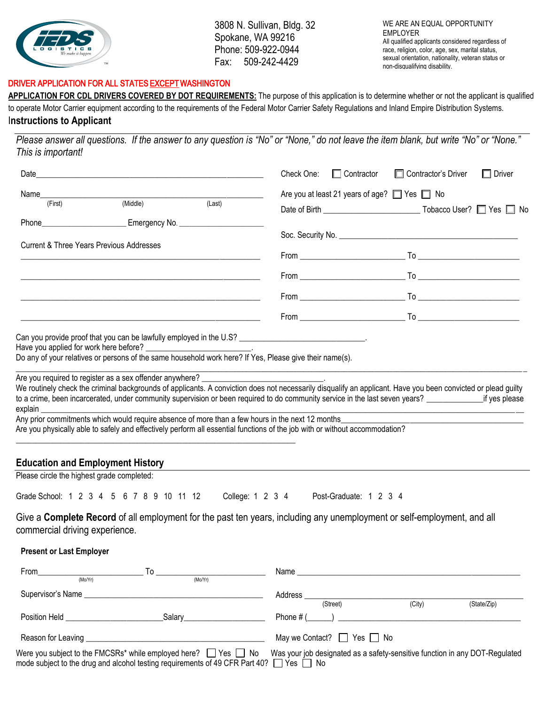

3808 N. Sullivan, Bldg. 32 Spokane, WA 99216 Phone: 509-922-0944 Fax: 509-242-4429

WE ARE AN EQUAL OPPORTUNITY EMPLOYER All qualified applicants considered regardless of race, religion, color, age, sex, marital status, sexual orientation, nationality, veteran status or non-disqualifying disability.

### DRIVER APPLICATION FOR ALL STATES EXCEPT WASHINGTON

APPLICATION FOR CDL DRIVERS COVERED BY DOT REQUIREMENTS: The purpose of this application is to determine whether or not the applicant is qualified to operate Motor Carrier equipment according to the requirements of the Federal Motor Carrier Safety Regulations and Inland Empire Distribution Systems. I**nstructions to Applicant** 

*Please answer all questions. If the answer to any question is "No" or "None," do not leave the item blank, but write "No" or "None." This is important!* 

|                                                     |                                                                                                                                                                                                                                                                                       |        | Check One: | $\Box$ Contractor | □ Contractor's Driver                                                                                                                                         | $\Box$ Driver |
|-----------------------------------------------------|---------------------------------------------------------------------------------------------------------------------------------------------------------------------------------------------------------------------------------------------------------------------------------------|--------|------------|-------------------|---------------------------------------------------------------------------------------------------------------------------------------------------------------|---------------|
| (First)                                             | (Middle)                                                                                                                                                                                                                                                                              | (Last) |            |                   | Are you at least 21 years of age? Ves No                                                                                                                      |               |
|                                                     | Phone___________________________________Emergency No. __________________________                                                                                                                                                                                                      |        |            |                   |                                                                                                                                                               |               |
| <b>Current &amp; Three Years Previous Addresses</b> |                                                                                                                                                                                                                                                                                       |        |            |                   |                                                                                                                                                               |               |
|                                                     |                                                                                                                                                                                                                                                                                       |        |            |                   |                                                                                                                                                               |               |
|                                                     |                                                                                                                                                                                                                                                                                       |        |            |                   |                                                                                                                                                               |               |
|                                                     |                                                                                                                                                                                                                                                                                       |        |            |                   |                                                                                                                                                               |               |
|                                                     | <u> 1989 - Jan James James James James James James James James James James James James James James James James Ja</u>                                                                                                                                                                 |        |            |                   |                                                                                                                                                               |               |
|                                                     | Can you provide proof that you can be lawfully employed in the U.S? _______________________________.<br>Have you applied for work here before? __________________________.<br>Do any of your relatives or persons of the same household work here? If Yes, Please give their name(s). |        |            |                   |                                                                                                                                                               |               |
| explain                                             | Are you required to register as a sex offender anywhere?                                                                                                                                                                                                                              |        |            |                   | We routinely check the criminal backgrounds of applicants. A conviction does not necessarily disqualify an applicant. Have you been convicted or plead guilty |               |
|                                                     | Any prior commitments which would require absence of more than a few hours in the next 12 months<br>Are you physically able to safely and effectively perform all essential functions of the job with or without accommodation?                                                       |        |            |                   |                                                                                                                                                               |               |
| <b>Education and Employment History</b>             |                                                                                                                                                                                                                                                                                       |        |            |                   |                                                                                                                                                               |               |

Please circle the highest grade completed:

Grade School: 1 2 3 4 5 6 7 8 9 10 11 12 College: 1 2 3 4 Post-Graduate: 1 2 3 4

Give a **Complete Record** of all employment for the past ten years, including any unemployment or self-employment, and all commercial driving experience.

#### **Present or Last Employer**

| From              | the contract of the contract of the contract of                                                                                                                                                                                      | 10 |                                                                                                                                                                                                                                                            |         | Name <u>________________________</u> |        |             |
|-------------------|--------------------------------------------------------------------------------------------------------------------------------------------------------------------------------------------------------------------------------------|----|------------------------------------------------------------------------------------------------------------------------------------------------------------------------------------------------------------------------------------------------------------|---------|--------------------------------------|--------|-------------|
|                   | (Mo/Yr)                                                                                                                                                                                                                              |    | (Mo/Yr)                                                                                                                                                                                                                                                    |         |                                      |        |             |
| Supervisor's Name | <u> 1989 - John Stein, Amerikaansk politiker (</u>                                                                                                                                                                                   |    |                                                                                                                                                                                                                                                            | Address |                                      |        |             |
|                   |                                                                                                                                                                                                                                      |    |                                                                                                                                                                                                                                                            |         | (Street)                             | (City) | (State/Zip) |
|                   | Position Held <b>Contract Contract Contract Contract</b>                                                                                                                                                                             |    | Salary <b>Salary Salary Salary Salary</b>                                                                                                                                                                                                                  |         | Phone $\#$ ( )                       |        |             |
|                   | Reason for Leaving <u>entitled and the series of the series of the series of the series of the series of the series of the series of the series of the series of the series of the series of the series of the series of the ser</u> |    |                                                                                                                                                                                                                                                            |         | May we Contact? $\Box$ Yes $\Box$ No |        |             |
|                   |                                                                                                                                                                                                                                      |    | Were you subject to the FMCSRs* while employed here? $\Box$ Yes $\Box$ No Was your job designated as a safety-sensitive function in any DOT-Regulated<br>mode subject to the drug and alcohol testing requirements of 49 CFR Part 40? $\Box$ Yes $\Box$ No |         |                                      |        |             |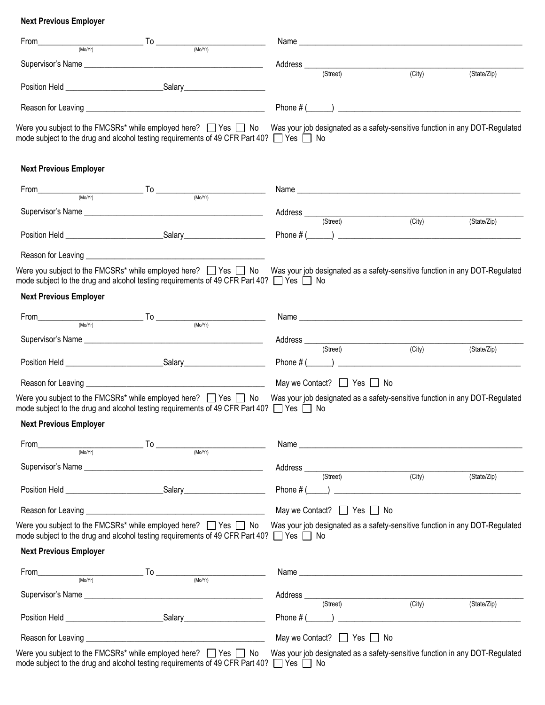# **Next Previous Employer**

| From<br>(Mo/Yr)               | <b>Example 19</b> To the To<br>(Mo/Yr)                                                                                                                                         | Name                                                                                                                                                  |                     |             |
|-------------------------------|--------------------------------------------------------------------------------------------------------------------------------------------------------------------------------|-------------------------------------------------------------------------------------------------------------------------------------------------------|---------------------|-------------|
|                               |                                                                                                                                                                                | Address <sub>____</sub>                                                                                                                               |                     |             |
|                               |                                                                                                                                                                                | (Street)                                                                                                                                              | (City)              | (State/Zip) |
|                               |                                                                                                                                                                                |                                                                                                                                                       |                     |             |
|                               |                                                                                                                                                                                |                                                                                                                                                       |                     |             |
|                               | mode subject to the drug and alcohol testing requirements of 49 CFR Part 40? □ Yes □ No                                                                                        | Were you subject to the FMCSRs* while employed here?<br>Yes  Someon No Was your job designated as a safety-sensitive function in any DOT-Regulated    |                     |             |
| <b>Next Previous Employer</b> |                                                                                                                                                                                |                                                                                                                                                       |                     |             |
| From                          | $\frac{1}{\sqrt{10}}$ To $\frac{1}{\sqrt{100(r_1)}}$                                                                                                                           |                                                                                                                                                       |                     |             |
|                               |                                                                                                                                                                                |                                                                                                                                                       |                     |             |
|                               |                                                                                                                                                                                | (Street)                                                                                                                                              | (City)              | (State/Zip) |
|                               |                                                                                                                                                                                |                                                                                                                                                       |                     |             |
|                               | mode subject to the drug and alcohol testing requirements of 49 CFR Part 40? $\Box$ Yes $\Box$ No                                                                              | Were you subject to the FMCSRs* while employed here? $\Box$ Yes $\Box$ No Was your job designated as a safety-sensitive function in any DOT-Regulated |                     |             |
| <b>Next Previous Employer</b> |                                                                                                                                                                                |                                                                                                                                                       |                     |             |
| From                          | $\frac{1}{\frac{1}{\frac{1}{100}(M_0)} \frac{1}{100}}$                                                                                                                         |                                                                                                                                                       |                     |             |
|                               |                                                                                                                                                                                | Address (Street) (City)                                                                                                                               |                     |             |
|                               |                                                                                                                                                                                |                                                                                                                                                       |                     | (State/Zip) |
|                               |                                                                                                                                                                                | May we Contact?   Yes No                                                                                                                              |                     |             |
|                               | Were you subject to the FMCSRs* while employed here? $\Box$ Yes $\Box$ No<br>mode subject to the drug and alcohol testing requirements of 49 CFR Part 40? $\Box$ Yes $\Box$ No | Was your job designated as a safety-sensitive function in any DOT-Regulated                                                                           |                     |             |
| <b>Next Previous Employer</b> |                                                                                                                                                                                |                                                                                                                                                       |                     |             |
| From<br>(Mo/Yr)               | $\overline{r}$ To $\overline{r}$ (Mo/Yr)                                                                                                                                       |                                                                                                                                                       |                     |             |
|                               |                                                                                                                                                                                | Address _____<br>(Street) (C                                                                                                                          | (City)              | (State/Zip) |
|                               |                                                                                                                                                                                |                                                                                                                                                       |                     |             |
|                               |                                                                                                                                                                                | May we Contact? $\Box$ Yes $\Box$ No                                                                                                                  |                     |             |
|                               | Were you subject to the FMCSRs* while employed here? $\Box$ Yes $\Box$ No<br>mode subject to the drug and alcohol testing requirements of 49 CFR Part 40? $\Box$ Yes $\Box$ No | Was your job designated as a safety-sensitive function in any DOT-Regulated                                                                           |                     |             |
| <b>Next Previous Employer</b> |                                                                                                                                                                                |                                                                                                                                                       |                     |             |
| From                          | $\overbrace{\hspace{2.5cm}}^{\text{[Mo/Yr]}}$ $\overbrace{\hspace{2.5cm}}^{\text{[Mo/Yr]}}$ $\overbrace{\hspace{2.5cm}}^{\text{[Mo/Yr]}}$                                      |                                                                                                                                                       |                     |             |
|                               |                                                                                                                                                                                |                                                                                                                                                       |                     |             |
|                               |                                                                                                                                                                                | Address (Street)                                                                                                                                      | $\overline{(City)}$ | (State/Zip) |
|                               |                                                                                                                                                                                |                                                                                                                                                       |                     |             |
|                               |                                                                                                                                                                                | May we Contact? $\Box$ Yes $\Box$ No                                                                                                                  |                     |             |
|                               | Were you subject to the FMCSRs* while employed here? $\Box$ Yes $\Box$ No<br>mode subject to the drug and alcohol testing requirements of 49 CFR Part 40? □ Yes □ No           | Was your job designated as a safety-sensitive function in any DOT-Regulated                                                                           |                     |             |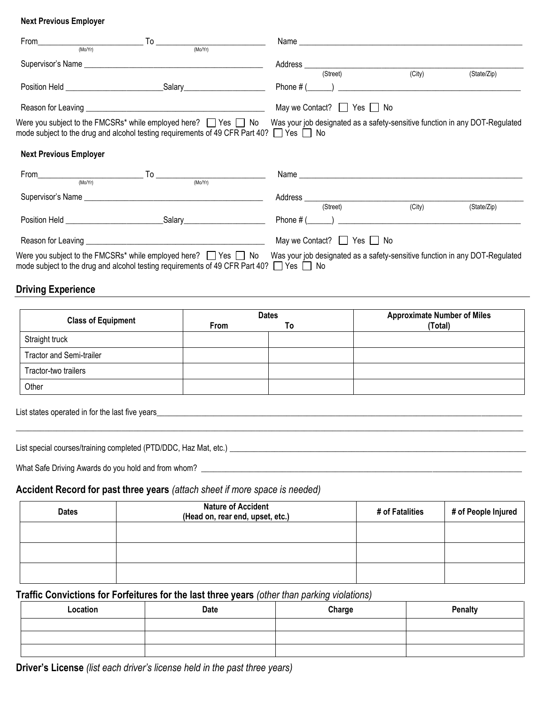#### **Next Previous Employer**

|                               | $From \n\n(Mo/Yr) \n\n(Mo/Yr) \n\n(Mo/Yr)$                                                                                                                                                                                           |                                                                                                                                                       |                     |             |
|-------------------------------|--------------------------------------------------------------------------------------------------------------------------------------------------------------------------------------------------------------------------------------|-------------------------------------------------------------------------------------------------------------------------------------------------------|---------------------|-------------|
|                               |                                                                                                                                                                                                                                      |                                                                                                                                                       |                     |             |
|                               |                                                                                                                                                                                                                                      | Address (Street) (City)                                                                                                                               |                     |             |
|                               |                                                                                                                                                                                                                                      |                                                                                                                                                       |                     | (State/Zip) |
|                               |                                                                                                                                                                                                                                      |                                                                                                                                                       |                     |             |
|                               |                                                                                                                                                                                                                                      | May we Contact? $\Box$ Yes $\Box$ No                                                                                                                  |                     |             |
|                               | mode subject to the drug and alcohol testing requirements of 49 CFR Part 40? $\Box$ Yes $\Box$ No                                                                                                                                    | Were you subject to the FMCSRs* while employed here? $\Box$ Yes $\Box$ No Was your job designated as a safety-sensitive function in any DOT-Regulated |                     |             |
| <b>Next Previous Employer</b> |                                                                                                                                                                                                                                      |                                                                                                                                                       |                     |             |
|                               |                                                                                                                                                                                                                                      |                                                                                                                                                       |                     |             |
|                               | $From $ To $_{(MoYt)}$ To $_{(MoYt)}$                                                                                                                                                                                                |                                                                                                                                                       |                     |             |
|                               |                                                                                                                                                                                                                                      |                                                                                                                                                       |                     |             |
|                               |                                                                                                                                                                                                                                      | (Street)                                                                                                                                              | $\overline{(City)}$ | (State/Zip) |
|                               | Position Held <b>Contract Contract Contract Contract Contract Contract Contract Contract Contract Contract Contract Contract Contract Contract Contract Contract Contract Contract Contract Contract Contract Contract Contract </b> | Phone # $($ $)$ $)$ $)$ $)$ $)$ $)$ $)$ $)$ $)$ $)$ $)$ $)$ $)$ $)$ $)$ $)$ $)$ $)$ $)$ $)$ $)$ $)$ $)$ $)$ $)$ $)$ $)$ $)$ $)$                       |                     |             |
|                               |                                                                                                                                                                                                                                      | May we Contact? $\Box$ Yes $\Box$ No                                                                                                                  |                     |             |
|                               | Were you subject to the FMCSRs* while employed here? $\Box$ Yes $\Box$ No<br>mode subject to the drug and alcohol testing requirements of 49 CFR Part 40? $\Box$ Yes $\Box$ No                                                       | Was your job designated as a safety-sensitive function in any DOT-Regulated                                                                           |                     |             |

## **Driving Experience**

| <b>Class of Equipment</b>       | <b>Dates</b> |    | <b>Approximate Number of Miles</b> |
|---------------------------------|--------------|----|------------------------------------|
|                                 | <b>From</b>  | ١o | (Total)                            |
| Straight truck                  |              |    |                                    |
| <b>Tractor and Semi-trailer</b> |              |    |                                    |
| Tractor-two trailers            |              |    |                                    |
| Other                           |              |    |                                    |

 $\Box \Box \Box \Box \Box \Box \Box$  . The set of the set of the set of the set of the set of the set of the set of the set of the set of the set of the set of the set of the set of the set of the set of the set of the set of the set of the

List states operated in for the last five years\_\_\_\_\_\_\_\_\_\_\_\_\_\_\_\_\_\_\_\_\_\_\_\_\_\_\_\_\_\_\_\_\_\_\_\_\_\_\_\_\_\_\_\_\_\_\_\_\_\_\_\_\_\_\_\_\_\_\_\_\_\_\_\_\_\_\_\_\_\_\_\_\_\_\_\_\_\_\_\_\_\_\_\_\_\_\_\_\_\_

List special courses/training completed (PTD/DDC, Haz Mat, etc.) \_\_\_\_\_\_\_\_\_\_\_\_\_\_\_\_\_\_\_\_\_\_\_\_\_\_\_\_\_\_\_\_\_\_\_\_\_\_\_\_\_\_\_\_\_\_\_\_\_\_\_\_\_\_\_\_\_\_\_\_\_\_\_\_\_\_\_\_\_\_\_\_\_

What Safe Driving Awards do you hold and from whom? \_\_\_\_\_\_\_\_\_\_\_\_\_\_\_\_\_\_\_\_\_\_\_\_\_\_\_\_\_\_\_\_\_\_\_\_\_\_\_\_\_\_\_\_\_\_\_\_\_\_\_\_\_\_\_\_\_\_\_\_\_\_\_\_\_\_\_\_\_\_\_\_\_\_\_\_\_\_\_

# **Accident Record for past three years** *(attach sheet if more space is needed)*

| <b>Dates</b> | <b>Nature of Accident</b><br>(Head on, rear end, upset, etc.) | # of Fatalities | # of People Injured |
|--------------|---------------------------------------------------------------|-----------------|---------------------|
|              |                                                               |                 |                     |
|              |                                                               |                 |                     |
|              |                                                               |                 |                     |

## **Traffic Convictions for Forfeitures for the last three years** *(other than parking violations)*

| Location | Date | Charge | <b>Penalty</b> |
|----------|------|--------|----------------|
|          |      |        |                |
|          |      |        |                |
|          |      |        |                |

**Driver's License** *(list each driver's license held in the past three years)*